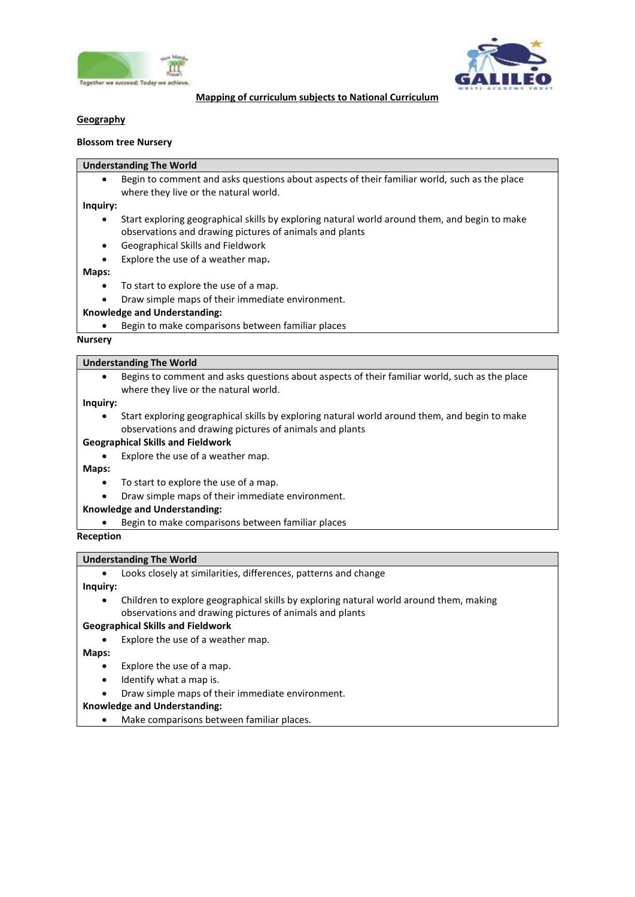



#### **Mapping of curriculum subjects to National Curriculum**

# **Geography**

#### **Blossom tree Nursery**

#### **Understanding The World**

 Begin to comment and asks questions about aspects of their familiar world, such as the place where they live or the natural world.

#### **Inquiry:**

- Start exploring geographical skills by exploring natural world around them, and begin to make observations and drawing pictures of animals and plants
- Geographical Skills and Fieldwork
- Explore the use of a weather map**.**

#### **Maps:**

- To start to explore the use of a map.
- Draw simple maps of their immediate environment.

### **Knowledge and Understanding:**

Begin to make comparisons between familiar places

#### **Nursery**

#### **Understanding The World**

 Begins to comment and asks questions about aspects of their familiar world, such as the place where they live or the natural world.

#### **Inquiry:**

 Start exploring geographical skills by exploring natural world around them, and begin to make observations and drawing pictures of animals and plants

#### **Geographical Skills and Fieldwork**

Explore the use of a weather map.

#### **Maps:**

- To start to explore the use of a map.
- Draw simple maps of their immediate environment.

#### **Knowledge and Understanding:**

Begin to make comparisons between familiar places

#### **Reception**

#### **Understanding The World**

Looks closely at similarities, differences, patterns and change

**Inquiry:**

 Children to explore geographical skills by exploring natural world around them, making observations and drawing pictures of animals and plants

#### **Geographical Skills and Fieldwork**

Explore the use of a weather map.

**Maps:**

- Explore the use of a map.
- Identify what a map is.
- Draw simple maps of their immediate environment.

# **Knowledge and Understanding:**

Make comparisons between familiar places.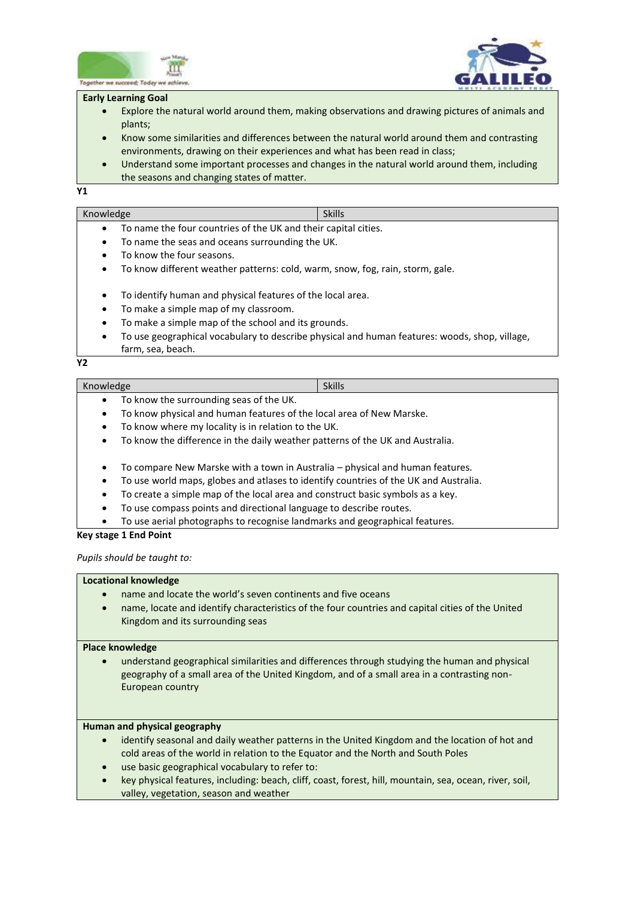



#### **Early Learning Goal**

- Explore the natural world around them, making observations and drawing pictures of animals and plants;
- Know some similarities and differences between the natural world around them and contrasting environments, drawing on their experiences and what has been read in class;
- Understand some important processes and changes in the natural world around them, including the seasons and changing states of matter.

**Y1**

# Knowledge Skills and Skills and Skills and Skills and Skills

- To name the four countries of the UK and their capital cities.
- To name the seas and oceans surrounding the UK.
- To know the four seasons.
- To know different weather patterns: cold, warm, snow, fog, rain, storm, gale.
- To identify human and physical features of the local area.
- To make a simple map of my classroom.
- To make a simple map of the school and its grounds.
- To use geographical vocabulary to describe physical and human features: woods, shop, village, farm, sea, beach.

**Y2**

# Knowledge Skills and Skills and Skills and Skills and Skills and Skills and Skills and Skills and Skills and Skills

- To know the surrounding seas of the UK.
- To know physical and human features of the local area of New Marske.
- To know where my locality is in relation to the UK.
- To know the difference in the daily weather patterns of the UK and Australia.
- To compare New Marske with a town in Australia physical and human features.
- To use world maps, globes and atlases to identify countries of the UK and Australia.
- To create a simple map of the local area and construct basic symbols as a key.
- To use compass points and directional language to describe routes.
- To use aerial photographs to recognise landmarks and geographical features.

### **Key stage 1 End Point**

# *Pupils should be taught to:*

# **Locational knowledge**

- name and locate the world's seven continents and five oceans
- name, locate and identify characteristics of the four countries and capital cities of the United Kingdom and its surrounding seas

### **Place knowledge**

 understand geographical similarities and differences through studying the human and physical geography of a small area of the United Kingdom, and of a small area in a contrasting non-European country

### **Human and physical geography**

- identify seasonal and daily weather patterns in the United Kingdom and the location of hot and cold areas of the world in relation to the Equator and the North and South Poles
- use basic geographical vocabulary to refer to:
- key physical features, including: beach, cliff, coast, forest, hill, mountain, sea, ocean, river, soil, valley, vegetation, season and weather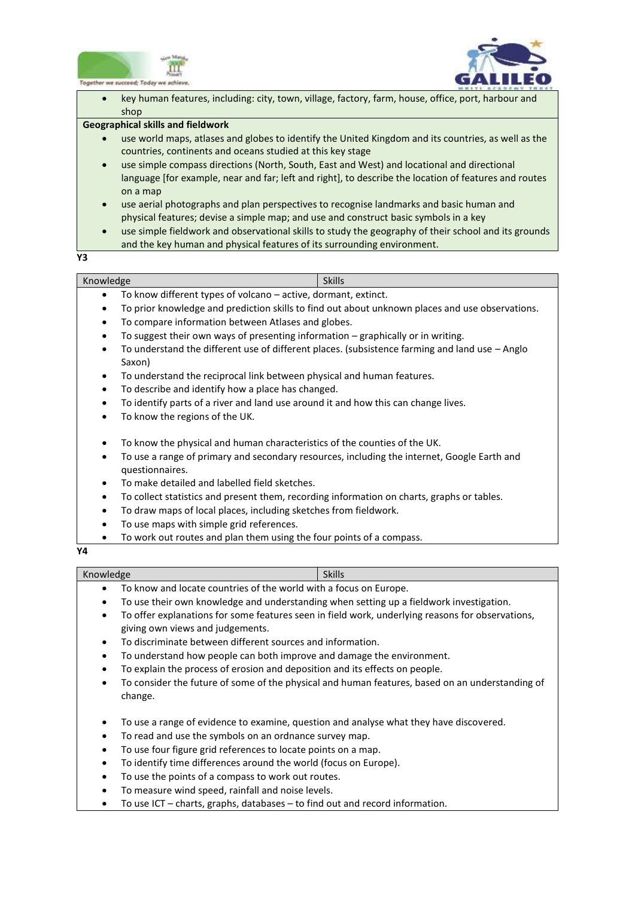



 $\overline{a}$  key human features, including: city, town, village, factory, farm, house, office, port, harbour and shop

## **Geographical skills and fieldwork**

- use world maps, atlases and globes to identify the United Kingdom and its countries, as well as the countries, continents and oceans studied at this key stage
- use simple compass directions (North, South, East and West) and locational and directional language [for example, near and far; left and right], to describe the location of features and routes on a map
- use aerial photographs and plan perspectives to recognise landmarks and basic human and physical features; devise a simple map; and use and construct basic symbols in a key
- use simple fieldwork and observational skills to study the geography of their school and its grounds and the key human and physical features of its surrounding environment.

**Y3**

| Knowledge                                                                                       | <b>Skills</b> |
|-------------------------------------------------------------------------------------------------|---------------|
| To know different types of volcano – active, dormant, extinct.                                  |               |
| To prior knowledge and prediction skills to find out about unknown places and use observations. |               |

- To compare information between Atlases and globes.
- To suggest their own ways of presenting information graphically or in writing.
- To understand the different use of different places. (subsistence farming and land use Anglo Saxon)
- To understand the reciprocal link between physical and human features.
- To describe and identify how a place has changed.
- To identify parts of a river and land use around it and how this can change lives.
- To know the regions of the UK.
- To know the physical and human characteristics of the counties of the UK.
- To use a range of primary and secondary resources, including the internet, Google Earth and questionnaires.
- To make detailed and labelled field sketches.
- To collect statistics and present them, recording information on charts, graphs or tables.
- To draw maps of local places, including sketches from fieldwork.
- To use maps with simple grid references.
- To work out routes and plan them using the four points of a compass.

**Y4**

# Knowledge Skills and Skills and Skills and Skills and Skills and Skills and Skills and Skills and Skills and Skills

- To know and locate countries of the world with a focus on Europe.
- To use their own knowledge and understanding when setting up a fieldwork investigation.
- To offer explanations for some features seen in field work, underlying reasons for observations, giving own views and judgements.
- To discriminate between different sources and information.
- To understand how people can both improve and damage the environment.
- To explain the process of erosion and deposition and its effects on people.
- To consider the future of some of the physical and human features, based on an understanding of change.
- To use a range of evidence to examine, question and analyse what they have discovered.
- To read and use the symbols on an ordnance survey map.
- To use four figure grid references to locate points on a map.
- To identify time differences around the world (focus on Europe).
- To use the points of a compass to work out routes.
- To measure wind speed, rainfall and noise levels.
- To use ICT charts, graphs, databases to find out and record information.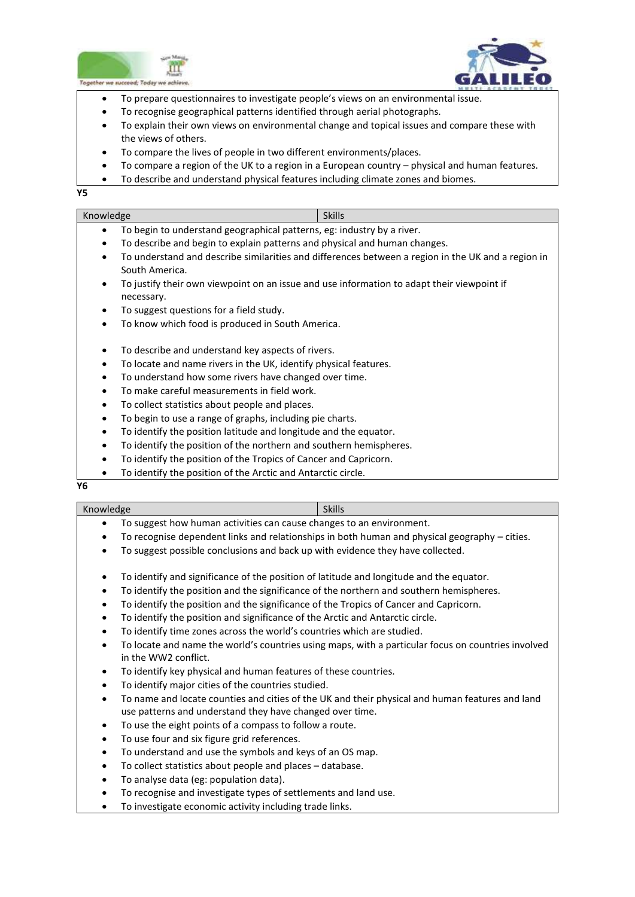



- $\overline{a}$ To prepare questionnaires to investigate people's views on an environmental issue.
- To recognise geographical patterns identified through aerial photographs.
- To explain their own views on environmental change and topical issues and compare these with the views of others.
- To compare the lives of people in two different environments/places.
- To compare a region of the UK to a region in a European country physical and human features.
- To describe and understand physical features including climate zones and biomes.

**Y5**

| Knowledge                                                                                          | <b>Skills</b> |
|----------------------------------------------------------------------------------------------------|---------------|
| To begin to understand geographical patterns, eg: industry by a river.<br>٠                        |               |
| To describe and begin to explain patterns and physical and human changes.<br>$\bullet$             |               |
| To understand and describe similarities and differences between a region in the UK and a region in |               |
| South America.                                                                                     |               |
| To justify their own viewpoint on an issue and use information to adapt their viewpoint if<br>٠    |               |
| necessary.                                                                                         |               |
| To suggest questions for a field study.<br>٠                                                       |               |
| To know which food is produced in South America.                                                   |               |
| To describe and understand key aspects of rivers.                                                  |               |
| To locate and name rivers in the UK, identify physical features.                                   |               |
| To understand how some rivers have changed over time.                                              |               |
| To make careful measurements in field work.<br>٠                                                   |               |
| To collect statistics about people and places.<br>٠                                                |               |
| To begin to use a range of graphs, including pie charts.<br>٠                                      |               |
| To identify the position latitude and longitude and the equator.                                   |               |
|                                                                                                    |               |

- To identify the position of the northern and southern hemispheres.
- To identify the position of the Tropics of Cancer and Capricorn.
- To identify the position of the Arctic and Antarctic circle.

**Y6**

| Knowledge                                                                                       | <b>Skills</b> |
|-------------------------------------------------------------------------------------------------|---------------|
| To suggest how human activities can cause changes to an environment.                            |               |
| To recognise dependent links and relationships in both human and physical geography $-$ cities. |               |
| To suggest possible conclusions and back up with evidence they have collected.                  |               |

- To identify and significance of the position of latitude and longitude and the equator.
- To identify the position and the significance of the northern and southern hemispheres.
- To identify the position and the significance of the Tropics of Cancer and Capricorn.
- To identify the position and significance of the Arctic and Antarctic circle.
- To identify time zones across the world's countries which are studied.
- To locate and name the world's countries using maps, with a particular focus on countries involved in the WW2 conflict.
- To identify key physical and human features of these countries.
- To identify major cities of the countries studied.
- To name and locate counties and cities of the UK and their physical and human features and land use patterns and understand they have changed over time.
- To use the eight points of a compass to follow a route.
- To use four and six figure grid references.
- To understand and use the symbols and keys of an OS map.
- To collect statistics about people and places database.
- To analyse data (eg: population data).
- To recognise and investigate types of settlements and land use.
- To investigate economic activity including trade links.